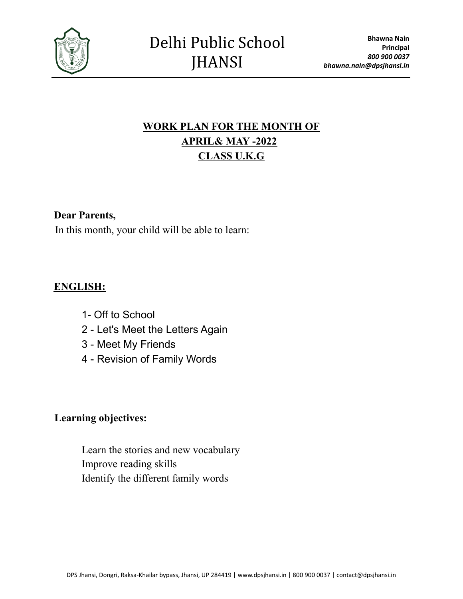

# **WORK PLAN FOR THE MONTH OF APRIL& MAY -2022 CLASS U.K.G**

### **Dear Parents,**

In this month, your child will be able to learn:

### **ENGLISH:**

- 1- Off to School
- 2 Let's Meet the Letters Again
- 3 Meet My Friends
- 4 Revision of Family Words

#### **Learning objectives:**

Learn the stories and new vocabulary Improve reading skills Identify the different family words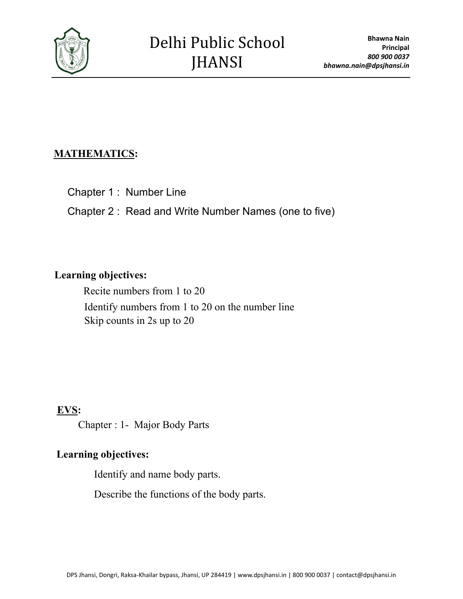

## **MATHEMATICS:**

Chapter 1 : Number Line

Chapter 2 : Read and Write Number Names (one to five)

#### **Learning objectives:**

Recite numbers from 1 to 20 Identify numbers from 1 to 20 on the number line Skip counts in 2s up to 20

### **EVS:**

Chapter : 1- Major Body Parts

# **Learning objectives:**

Identify and name body parts.

Describe the functions of the body parts.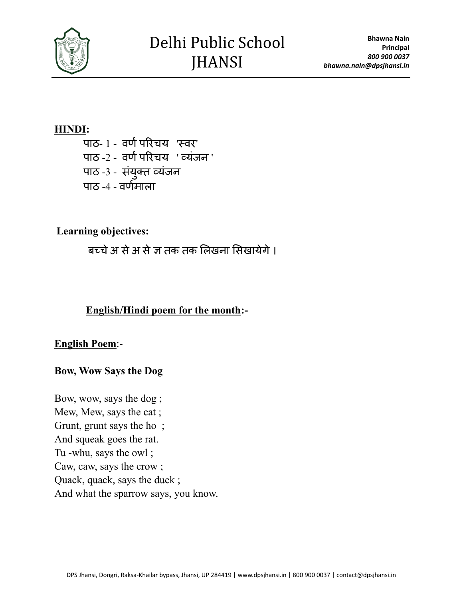

#### **HINDI:**

पाठ- १ - वर्ण परिचय 'स्वर' पाठ -2 - वर्ण परिचय 'व्यंजन' पाठ -3 - संयुक्त व्यंजन पाठ  $-4$  - वर्णमाला

### **Learning objectives:**

बच्चे अ से अ से ज तक तक लिखना सिखायेगे ।

### **English/Hindi poem for the month:-**

#### **English Poem**:-

#### **Bow, Wow Says the Dog**

Bow, wow, says the dog ; Mew, Mew, says the cat ; Grunt, grunt says the ho ; And squeak goes the rat. Tu -whu, says the owl ; Caw, caw, says the crow ; Quack, quack, says the duck ; And what the sparrow says, you know.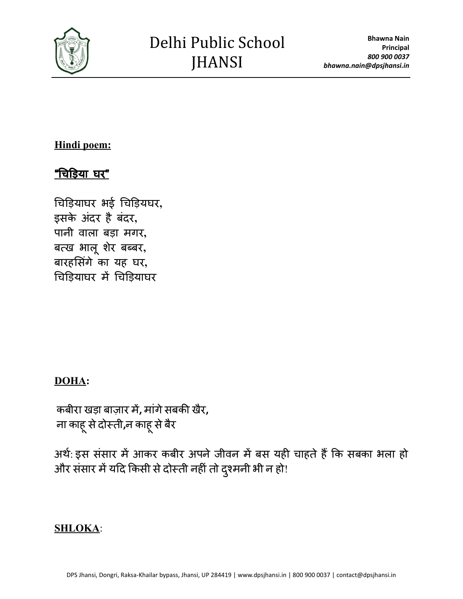

### **Hindi poem:**

# "चिड़िया घर"

चि ड़ि याघर भई चि ड़ि यघर**,** इसके अंदर है बंदर, पानी वाला बड़ा मगर**,** बत्ख भाल ू शरे बब्बर**,** बारहसिंगे का यह घर, चिड़ियाघर में चिड़ियाघर

## **DOHA:**

कबीरा खड़ा बाज़ार में**,** मांगेसबकी खरै**,** ना काह ू सेदोस्ती**,**न काह ू सेबरै

अर्थ: इस संसार में आकर कबीर अपने जीवन में बस यही चाहते हैं कि सबका भला हो और संसार में यदि किसी से दोस्ती नहीं तो दुश्मनी भी न हो!

### **SHLOKA**: